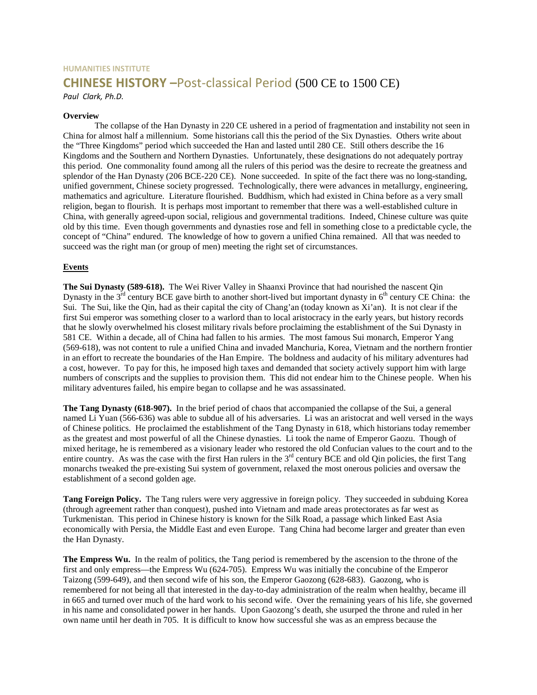# **HUMANITIES INSTITUTE CHINESE HISTORY –**Post-classical Period (500 CE to 1500 CE)

*Paul Clark, Ph.D.*

#### **Overview**

The collapse of the Han Dynasty in 220 CE ushered in a period of fragmentation and instability not seen in China for almost half a millennium. Some historians call this the period of the Six Dynasties. Others write about the "Three Kingdoms" period which succeeded the Han and lasted until 280 CE. Still others describe the 16 Kingdoms and the Southern and Northern Dynasties. Unfortunately, these designations do not adequately portray this period. One commonality found among all the rulers of this period was the desire to recreate the greatness and splendor of the Han Dynasty (206 BCE-220 CE). None succeeded. In spite of the fact there was no long-standing, unified government, Chinese society progressed. Technologically, there were advances in metallurgy, engineering, mathematics and agriculture. Literature flourished. Buddhism, which had existed in China before as a very small religion, began to flourish. It is perhaps most important to remember that there was a well-established culture in China, with generally agreed-upon social, religious and governmental traditions. Indeed, Chinese culture was quite old by this time. Even though governments and dynasties rose and fell in something close to a predictable cycle, the concept of "China" endured. The knowledge of how to govern a unified China remained. All that was needed to succeed was the right man (or group of men) meeting the right set of circumstances.

### **Events**

**The Sui Dynasty (589-618).** The Wei River Valley in Shaanxi Province that had nourished the nascent Qin Dynasty in the  $3<sup>rd</sup>$  century BCE gave birth to another short-lived but important dynasty in  $6<sup>th</sup>$  century CE China: the Sui. The Sui, like the Qin, had as their capital the city of Chang'an (today known as Xi'an). It is not clear if the first Sui emperor was something closer to a warlord than to local aristocracy in the early years, but history records that he slowly overwhelmed his closest military rivals before proclaiming the establishment of the Sui Dynasty in 581 CE. Within a decade, all of China had fallen to his armies. The most famous Sui monarch, Emperor Yang (569-618), was not content to rule a unified China and invaded Manchuria, Korea, Vietnam and the northern frontier in an effort to recreate the boundaries of the Han Empire. The boldness and audacity of his military adventures had a cost, however. To pay for this, he imposed high taxes and demanded that society actively support him with large numbers of conscripts and the supplies to provision them. This did not endear him to the Chinese people. When his military adventures failed, his empire began to collapse and he was assassinated.

**The Tang Dynasty (618-907).** In the brief period of chaos that accompanied the collapse of the Sui, a general named Li Yuan (566-636) was able to subdue all of his adversaries. Li was an aristocrat and well versed in the ways of Chinese politics. He proclaimed the establishment of the Tang Dynasty in 618, which historians today remember as the greatest and most powerful of all the Chinese dynasties. Li took the name of Emperor Gaozu. Though of mixed heritage, he is remembered as a visionary leader who restored the old Confucian values to the court and to the entire country. As was the case with the first Han rulers in the  $3<sup>rd</sup>$  century BCE and old Qin policies, the first Tang monarchs tweaked the pre-existing Sui system of government, relaxed the most onerous policies and oversaw the establishment of a second golden age.

**Tang Foreign Policy.** The Tang rulers were very aggressive in foreign policy. They succeeded in subduing Korea (through agreement rather than conquest), pushed into Vietnam and made areas protectorates as far west as Turkmenistan. This period in Chinese history is known for the Silk Road, a passage which linked East Asia economically with Persia, the Middle East and even Europe. Tang China had become larger and greater than even the Han Dynasty.

**The Empress Wu.** In the realm of politics, the Tang period is remembered by the ascension to the throne of the first and only empress—the Empress Wu (624-705). Empress Wu was initially the concubine of the Emperor Taizong (599-649), and then second wife of his son, the Emperor Gaozong (628-683). Gaozong, who is remembered for not being all that interested in the day-to-day administration of the realm when healthy, became ill in 665 and turned over much of the hard work to his second wife. Over the remaining years of his life, she governed in his name and consolidated power in her hands. Upon Gaozong's death, she usurped the throne and ruled in her own name until her death in 705. It is difficult to know how successful she was as an empress because the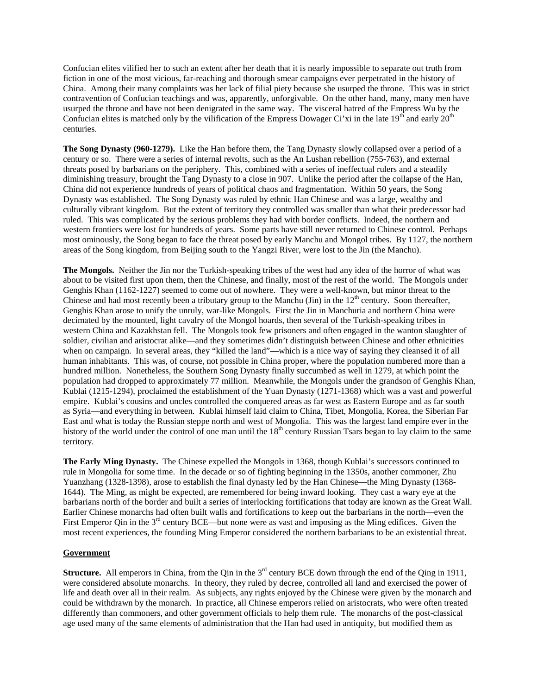Confucian elites vilified her to such an extent after her death that it is nearly impossible to separate out truth from fiction in one of the most vicious, far-reaching and thorough smear campaigns ever perpetrated in the history of China. Among their many complaints was her lack of filial piety because she usurped the throne. This was in strict contravention of Confucian teachings and was, apparently, unforgivable. On the other hand, many, many men have usurped the throne and have not been denigrated in the same way. The visceral hatred of the Empress Wu by the Confucian elites is matched only by the vilification of the Empress Dowager Ci'xi in the late  $19<sup>th</sup>$  and early  $20<sup>th</sup>$ centuries.

**The Song Dynasty (960-1279).** Like the Han before them, the Tang Dynasty slowly collapsed over a period of a century or so. There were a series of internal revolts, such as the An Lushan rebellion (755-763), and external threats posed by barbarians on the periphery. This, combined with a series of ineffectual rulers and a steadily diminishing treasury, brought the Tang Dynasty to a close in 907. Unlike the period after the collapse of the Han, China did not experience hundreds of years of political chaos and fragmentation. Within 50 years, the Song Dynasty was established. The Song Dynasty was ruled by ethnic Han Chinese and was a large, wealthy and culturally vibrant kingdom. But the extent of territory they controlled was smaller than what their predecessor had ruled. This was complicated by the serious problems they had with border conflicts. Indeed, the northern and western frontiers were lost for hundreds of years. Some parts have still never returned to Chinese control. Perhaps most ominously, the Song began to face the threat posed by early Manchu and Mongol tribes. By 1127, the northern areas of the Song kingdom, from Beijing south to the Yangzi River, were lost to the Jin (the Manchu).

**The Mongols.** Neither the Jin nor the Turkish-speaking tribes of the west had any idea of the horror of what was about to be visited first upon them, then the Chinese, and finally, most of the rest of the world. The Mongols under Genghis Khan (1162-1227) seemed to come out of nowhere. They were a well-known, but minor threat to the Chinese and had most recently been a tributary group to the Manchu (Jin) in the  $12<sup>th</sup>$  century. Soon thereafter, Genghis Khan arose to unify the unruly, war-like Mongols. First the Jin in Manchuria and northern China were decimated by the mounted, light cavalry of the Mongol hoards, then several of the Turkish-speaking tribes in western China and Kazakhstan fell. The Mongols took few prisoners and often engaged in the wanton slaughter of soldier, civilian and aristocrat alike—and they sometimes didn't distinguish between Chinese and other ethnicities when on campaign. In several areas, they "killed the land"—which is a nice way of saying they cleansed it of all human inhabitants. This was, of course, not possible in China proper, where the population numbered more than a hundred million. Nonetheless, the Southern Song Dynasty finally succumbed as well in 1279, at which point the population had dropped to approximately 77 million. Meanwhile, the Mongols under the grandson of Genghis Khan, Kublai (1215-1294), proclaimed the establishment of the Yuan Dynasty (1271-1368) which was a vast and powerful empire. Kublai's cousins and uncles controlled the conquered areas as far west as Eastern Europe and as far south as Syria—and everything in between. Kublai himself laid claim to China, Tibet, Mongolia, Korea, the Siberian Far East and what is today the Russian steppe north and west of Mongolia. This was the largest land empire ever in the history of the world under the control of one man until the  $18<sup>th</sup>$  century Russian Tsars began to lay claim to the same territory.

**The Early Ming Dynasty.** The Chinese expelled the Mongols in 1368, though Kublai's successors continued to rule in Mongolia for some time. In the decade or so of fighting beginning in the 1350s, another commoner, Zhu Yuanzhang (1328-1398), arose to establish the final dynasty led by the Han Chinese—the Ming Dynasty (1368- 1644). The Ming, as might be expected, are remembered for being inward looking. They cast a wary eye at the barbarians north of the border and built a series of interlocking fortifications that today are known as the Great Wall. Earlier Chinese monarchs had often built walls and fortifications to keep out the barbarians in the north—even the First Emperor Qin in the  $3<sup>rd</sup>$  century BCE—but none were as vast and imposing as the Ming edifices. Given the most recent experiences, the founding Ming Emperor considered the northern barbarians to be an existential threat.

#### **Government**

**Structure.** All emperors in China, from the Qin in the 3<sup>rd</sup> century BCE down through the end of the Qing in 1911, were considered absolute monarchs. In theory, they ruled by decree, controlled all land and exercised the power of life and death over all in their realm. As subjects, any rights enjoyed by the Chinese were given by the monarch and could be withdrawn by the monarch. In practice, all Chinese emperors relied on aristocrats, who were often treated differently than commoners, and other government officials to help them rule. The monarchs of the post-classical age used many of the same elements of administration that the Han had used in antiquity, but modified them as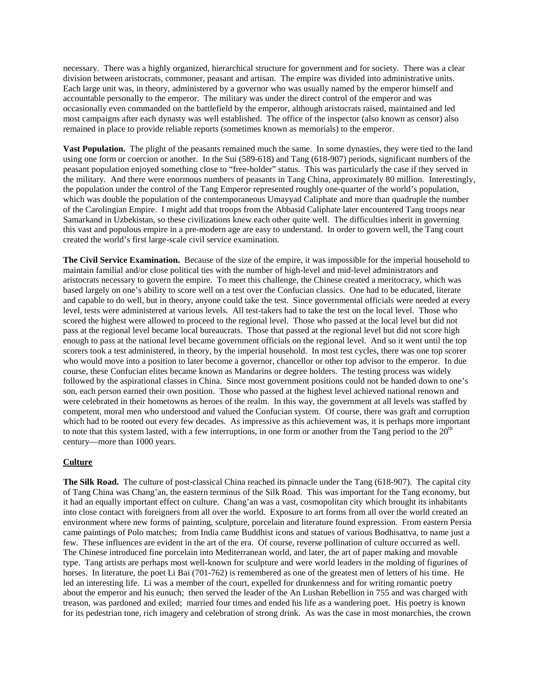necessary. There was a highly organized, hierarchical structure for government and for society. There was a clear division between aristocrats, commoner, peasant and artisan. The empire was divided into administrative units. Each large unit was, in theory, administered by a governor who was usually named by the emperor himself and accountable personally to the emperor. The military was under the direct control of the emperor and was occasionally even commanded on the battlefield by the emperor, although aristocrats raised, maintained and led most campaigns after each dynasty was well established. The office of the inspector (also known as censor) also remained in place to provide reliable reports (sometimes known as memorials) to the emperor.

**Vast Population.** The plight of the peasants remained much the same. In some dynasties, they were tied to the land using one form or coercion or another. In the Sui (589-618) and Tang (618-907) periods, significant numbers of the peasant population enjoyed something close to "free-holder" status. This was particularly the case if they served in the military. And there were enormous numbers of peasants in Tang China, approximately 80 million. Interestingly, the population under the control of the Tang Emperor represented roughly one-quarter of the world's population, which was double the population of the contemporaneous Umayyad Caliphate and more than quadruple the number of the Carolingian Empire. I might add that troops from the Abbasid Caliphate later encountered Tang troops near Samarkand in Uzbekistan, so these civilizations knew each other quite well. The difficulties inherit in governing this vast and populous empire in a pre-modern age are easy to understand. In order to govern well, the Tang court created the world's first large-scale civil service examination.

**The Civil Service Examination.** Because of the size of the empire, it was impossible for the imperial household to maintain familial and/or close political ties with the number of high-level and mid-level administrators and aristocrats necessary to govern the empire. To meet this challenge, the Chinese created a meritocracy, which was based largely on one's ability to score well on a test over the Confucian classics. One had to be educated, literate and capable to do well, but in theory, anyone could take the test. Since governmental officials were needed at every level, tests were administered at various levels. All test-takers had to take the test on the local level. Those who scored the highest were allowed to proceed to the regional level. Those who passed at the local level but did not pass at the regional level became local bureaucrats. Those that passed at the regional level but did not score high enough to pass at the national level became government officials on the regional level. And so it went until the top scorers took a test administered, in theory, by the imperial household. In most test cycles, there was one top scorer who would move into a position to later become a governor, chancellor or other top advisor to the emperor. In due course, these Confucian elites became known as Mandarins or degree holders. The testing process was widely followed by the aspirational classes in China. Since most government positions could not be handed down to one's son, each person earned their own position. Those who passed at the highest level achieved national renown and were celebrated in their hometowns as heroes of the realm. In this way, the government at all levels was staffed by competent, moral men who understood and valued the Confucian system. Of course, there was graft and corruption which had to be rooted out every few decades. As impressive as this achievement was, it is perhaps more important to note that this system lasted, with a few interruptions, in one form or another from the Tang period to the  $20<sup>th</sup>$ century—more than 1000 years.

### **Culture**

**The Silk Road.** The culture of post-classical China reached its pinnacle under the Tang (618-907). The capital city of Tang China was Chang'an, the eastern terminus of the Silk Road. This was important for the Tang economy, but it had an equally important effect on culture. Chang'an was a vast, cosmopolitan city which brought its inhabitants into close contact with foreigners from all over the world. Exposure to art forms from all over the world created an environment where new forms of painting, sculpture, porcelain and literature found expression. From eastern Persia came paintings of Polo matches; from India came Buddhist icons and statues of various Bodhisattva, to name just a few. These influences are evident in the art of the era. Of course, reverse pollination of culture occurred as well. The Chinese introduced fine porcelain into Mediterranean world, and later, the art of paper making and movable type. Tang artists are perhaps most well-known for sculpture and were world leaders in the molding of figurines of horses. In literature, the poet Li Bai (701-762) is remembered as one of the greatest men of letters of his time. He led an interesting life. Li was a member of the court, expelled for drunkenness and for writing romantic poetry about the emperor and his eunuch; then served the leader of the An Lushan Rebellion in 755 and was charged with treason, was pardoned and exiled; married four times and ended his life as a wandering poet. His poetry is known for its pedestrian tone, rich imagery and celebration of strong drink. As was the case in most monarchies, the crown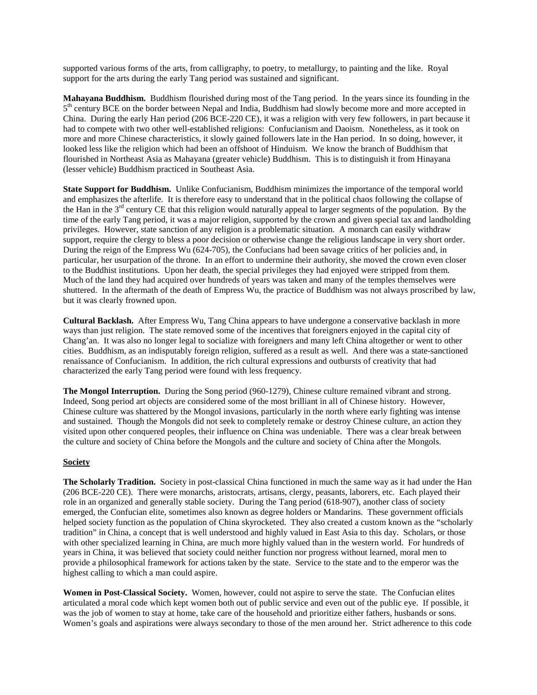supported various forms of the arts, from calligraphy, to poetry, to metallurgy, to painting and the like. Royal support for the arts during the early Tang period was sustained and significant.

**Mahayana Buddhism.** Buddhism flourished during most of the Tang period. In the years since its founding in the  $5<sup>th</sup>$  century BCE on the border between Nepal and India, Buddhism had slowly become more and more accepted in China. During the early Han period (206 BCE-220 CE), it was a religion with very few followers, in part because it had to compete with two other well-established religions: Confucianism and Daoism. Nonetheless, as it took on more and more Chinese characteristics, it slowly gained followers late in the Han period. In so doing, however, it looked less like the religion which had been an offshoot of Hinduism. We know the branch of Buddhism that flourished in Northeast Asia as Mahayana (greater vehicle) Buddhism. This is to distinguish it from Hinayana (lesser vehicle) Buddhism practiced in Southeast Asia.

**State Support for Buddhism.** Unlike Confucianism, Buddhism minimizes the importance of the temporal world and emphasizes the afterlife. It is therefore easy to understand that in the political chaos following the collapse of the Han in the 3<sup>rd</sup> century CE that this religion would naturally appeal to larger segments of the population. By the time of the early Tang period, it was a major religion, supported by the crown and given special tax and landholding privileges. However, state sanction of any religion is a problematic situation. A monarch can easily withdraw support, require the clergy to bless a poor decision or otherwise change the religious landscape in very short order. During the reign of the Empress Wu (624-705), the Confucians had been savage critics of her policies and, in particular, her usurpation of the throne. In an effort to undermine their authority, she moved the crown even closer to the Buddhist institutions. Upon her death, the special privileges they had enjoyed were stripped from them. Much of the land they had acquired over hundreds of years was taken and many of the temples themselves were shuttered. In the aftermath of the death of Empress Wu, the practice of Buddhism was not always proscribed by law, but it was clearly frowned upon.

**Cultural Backlash.** After Empress Wu, Tang China appears to have undergone a conservative backlash in more ways than just religion. The state removed some of the incentives that foreigners enjoyed in the capital city of Chang'an. It was also no longer legal to socialize with foreigners and many left China altogether or went to other cities. Buddhism, as an indisputably foreign religion, suffered as a result as well. And there was a state-sanctioned renaissance of Confucianism. In addition, the rich cultural expressions and outbursts of creativity that had characterized the early Tang period were found with less frequency.

**The Mongol Interruption.** During the Song period (960-1279), Chinese culture remained vibrant and strong. Indeed, Song period art objects are considered some of the most brilliant in all of Chinese history. However, Chinese culture was shattered by the Mongol invasions, particularly in the north where early fighting was intense and sustained. Though the Mongols did not seek to completely remake or destroy Chinese culture, an action they visited upon other conquered peoples, their influence on China was undeniable. There was a clear break between the culture and society of China before the Mongols and the culture and society of China after the Mongols.

### **Society**

**The Scholarly Tradition.** Society in post-classical China functioned in much the same way as it had under the Han (206 BCE-220 CE). There were monarchs, aristocrats, artisans, clergy, peasants, laborers, etc. Each played their role in an organized and generally stable society. During the Tang period (618-907), another class of society emerged, the Confucian elite, sometimes also known as degree holders or Mandarins. These government officials helped society function as the population of China skyrocketed. They also created a custom known as the "scholarly tradition" in China, a concept that is well understood and highly valued in East Asia to this day. Scholars, or those with other specialized learning in China, are much more highly valued than in the western world. For hundreds of years in China, it was believed that society could neither function nor progress without learned, moral men to provide a philosophical framework for actions taken by the state. Service to the state and to the emperor was the highest calling to which a man could aspire.

**Women in Post-Classical Society.** Women, however, could not aspire to serve the state. The Confucian elites articulated a moral code which kept women both out of public service and even out of the public eye. If possible, it was the job of women to stay at home, take care of the household and prioritize either fathers, husbands or sons. Women's goals and aspirations were always secondary to those of the men around her. Strict adherence to this code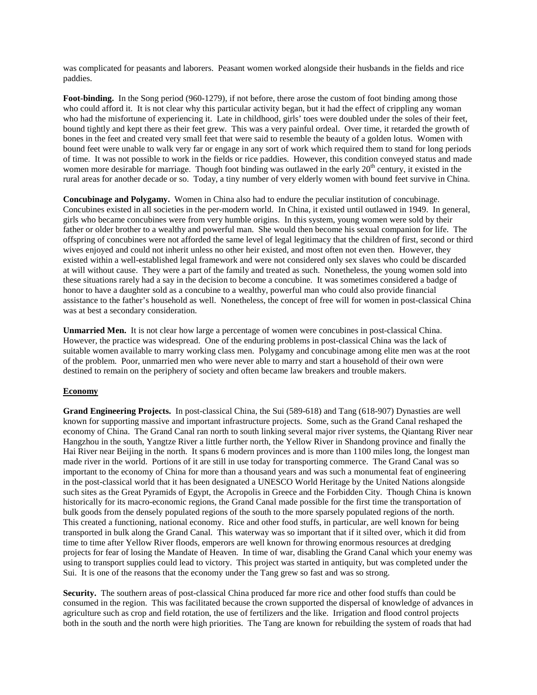was complicated for peasants and laborers. Peasant women worked alongside their husbands in the fields and rice paddies.

**Foot-binding.** In the Song period (960-1279), if not before, there arose the custom of foot binding among those who could afford it. It is not clear why this particular activity began, but it had the effect of crippling any woman who had the misfortune of experiencing it. Late in childhood, girls' toes were doubled under the soles of their feet, bound tightly and kept there as their feet grew. This was a very painful ordeal. Over time, it retarded the growth of bones in the feet and created very small feet that were said to resemble the beauty of a golden lotus. Women with bound feet were unable to walk very far or engage in any sort of work which required them to stand for long periods of time. It was not possible to work in the fields or rice paddies. However, this condition conveyed status and made women more desirable for marriage. Though foot binding was outlawed in the early  $20<sup>th</sup>$  century, it existed in the rural areas for another decade or so. Today, a tiny number of very elderly women with bound feet survive in China.

**Concubinage and Polygamy.** Women in China also had to endure the peculiar institution of concubinage. Concubines existed in all societies in the per-modern world. In China, it existed until outlawed in 1949. In general, girls who became concubines were from very humble origins. In this system, young women were sold by their father or older brother to a wealthy and powerful man. She would then become his sexual companion for life. The offspring of concubines were not afforded the same level of legal legitimacy that the children of first, second or third wives enjoyed and could not inherit unless no other heir existed, and most often not even then. However, they existed within a well-established legal framework and were not considered only sex slaves who could be discarded at will without cause. They were a part of the family and treated as such. Nonetheless, the young women sold into these situations rarely had a say in the decision to become a concubine. It was sometimes considered a badge of honor to have a daughter sold as a concubine to a wealthy, powerful man who could also provide financial assistance to the father's household as well. Nonetheless, the concept of free will for women in post-classical China was at best a secondary consideration.

**Unmarried Men.** It is not clear how large a percentage of women were concubines in post-classical China. However, the practice was widespread. One of the enduring problems in post-classical China was the lack of suitable women available to marry working class men. Polygamy and concubinage among elite men was at the root of the problem. Poor, unmarried men who were never able to marry and start a household of their own were destined to remain on the periphery of society and often became law breakers and trouble makers.

### **Economy**

**Grand Engineering Projects.** In post-classical China, the Sui (589-618) and Tang (618-907) Dynasties are well known for supporting massive and important infrastructure projects. Some, such as the Grand Canal reshaped the economy of China. The Grand Canal ran north to south linking several major river systems, the Qiantang River near Hangzhou in the south, Yangtze River a little further north, the Yellow River in Shandong province and finally the Hai River near Beijing in the north. It spans 6 modern provinces and is more than 1100 miles long, the longest man made river in the world. Portions of it are still in use today for transporting commerce. The Grand Canal was so important to the economy of China for more than a thousand years and was such a monumental feat of engineering in the post-classical world that it has been designated a UNESCO World Heritage by the United Nations alongside such sites as the Great Pyramids of Egypt, the Acropolis in Greece and the Forbidden City. Though China is known historically for its macro-economic regions, the Grand Canal made possible for the first time the transportation of bulk goods from the densely populated regions of the south to the more sparsely populated regions of the north. This created a functioning, national economy. Rice and other food stuffs, in particular, are well known for being transported in bulk along the Grand Canal. This waterway was so important that if it silted over, which it did from time to time after Yellow River floods, emperors are well known for throwing enormous resources at dredging projects for fear of losing the Mandate of Heaven. In time of war, disabling the Grand Canal which your enemy was using to transport supplies could lead to victory. This project was started in antiquity, but was completed under the Sui. It is one of the reasons that the economy under the Tang grew so fast and was so strong.

**Security.** The southern areas of post-classical China produced far more rice and other food stuffs than could be consumed in the region. This was facilitated because the crown supported the dispersal of knowledge of advances in agriculture such as crop and field rotation, the use of fertilizers and the like. Irrigation and flood control projects both in the south and the north were high priorities. The Tang are known for rebuilding the system of roads that had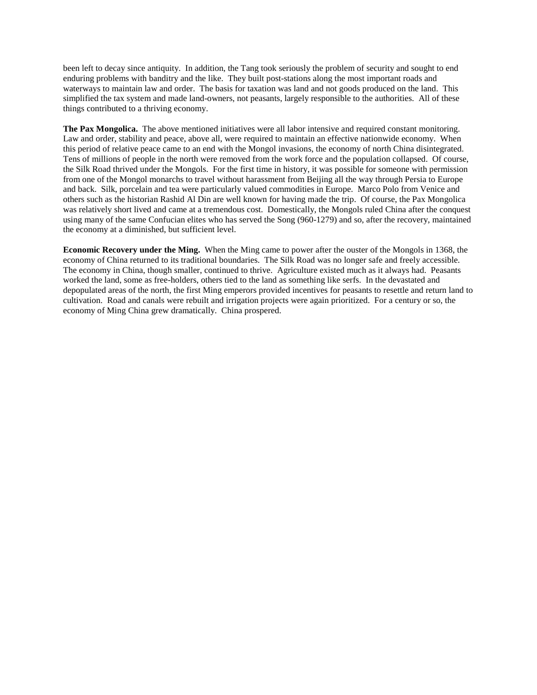been left to decay since antiquity. In addition, the Tang took seriously the problem of security and sought to end enduring problems with banditry and the like. They built post-stations along the most important roads and waterways to maintain law and order. The basis for taxation was land and not goods produced on the land. This simplified the tax system and made land-owners, not peasants, largely responsible to the authorities. All of these things contributed to a thriving economy.

**The Pax Mongolica.** The above mentioned initiatives were all labor intensive and required constant monitoring. Law and order, stability and peace, above all, were required to maintain an effective nationwide economy. When this period of relative peace came to an end with the Mongol invasions, the economy of north China disintegrated. Tens of millions of people in the north were removed from the work force and the population collapsed. Of course, the Silk Road thrived under the Mongols. For the first time in history, it was possible for someone with permission from one of the Mongol monarchs to travel without harassment from Beijing all the way through Persia to Europe and back. Silk, porcelain and tea were particularly valued commodities in Europe. Marco Polo from Venice and others such as the historian Rashid Al Din are well known for having made the trip. Of course, the Pax Mongolica was relatively short lived and came at a tremendous cost. Domestically, the Mongols ruled China after the conquest using many of the same Confucian elites who has served the Song (960-1279) and so, after the recovery, maintained the economy at a diminished, but sufficient level.

**Economic Recovery under the Ming.** When the Ming came to power after the ouster of the Mongols in 1368, the economy of China returned to its traditional boundaries. The Silk Road was no longer safe and freely accessible. The economy in China, though smaller, continued to thrive. Agriculture existed much as it always had. Peasants worked the land, some as free-holders, others tied to the land as something like serfs. In the devastated and depopulated areas of the north, the first Ming emperors provided incentives for peasants to resettle and return land to cultivation. Road and canals were rebuilt and irrigation projects were again prioritized. For a century or so, the economy of Ming China grew dramatically. China prospered.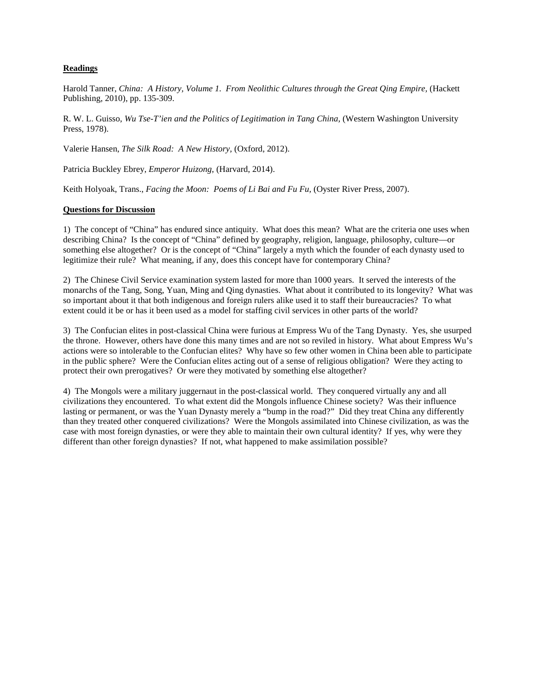## **Readings**

Harold Tanner, *China: A History, Volume 1. From Neolithic Cultures through the Great Qing Empire,* (Hackett Publishing, 2010), pp. 135-309.

R. W. L. Guisso, *Wu Tse-T'ien and the Politics of Legitimation in Tang China,* (Western Washington University Press, 1978).

Valerie Hansen, *The Silk Road: A New History,* (Oxford, 2012).

Patricia Buckley Ebrey, *Emperor Huizong*, (Harvard, 2014).

Keith Holyoak, Trans., *Facing the Moon: Poems of Li Bai and Fu Fu,* (Oyster River Press, 2007).

#### **Questions for Discussion**

1) The concept of "China" has endured since antiquity. What does this mean? What are the criteria one uses when describing China? Is the concept of "China" defined by geography, religion, language, philosophy, culture—or something else altogether? Or is the concept of "China" largely a myth which the founder of each dynasty used to legitimize their rule? What meaning, if any, does this concept have for contemporary China?

2) The Chinese Civil Service examination system lasted for more than 1000 years. It served the interests of the monarchs of the Tang, Song, Yuan, Ming and Qing dynasties. What about it contributed to its longevity? What was so important about it that both indigenous and foreign rulers alike used it to staff their bureaucracies? To what extent could it be or has it been used as a model for staffing civil services in other parts of the world?

3) The Confucian elites in post-classical China were furious at Empress Wu of the Tang Dynasty. Yes, she usurped the throne. However, others have done this many times and are not so reviled in history. What about Empress Wu's actions were so intolerable to the Confucian elites? Why have so few other women in China been able to participate in the public sphere? Were the Confucian elites acting out of a sense of religious obligation? Were they acting to protect their own prerogatives? Or were they motivated by something else altogether?

4) The Mongols were a military juggernaut in the post-classical world. They conquered virtually any and all civilizations they encountered. To what extent did the Mongols influence Chinese society? Was their influence lasting or permanent, or was the Yuan Dynasty merely a "bump in the road?" Did they treat China any differently than they treated other conquered civilizations? Were the Mongols assimilated into Chinese civilization, as was the case with most foreign dynasties, or were they able to maintain their own cultural identity? If yes, why were they different than other foreign dynasties? If not, what happened to make assimilation possible?